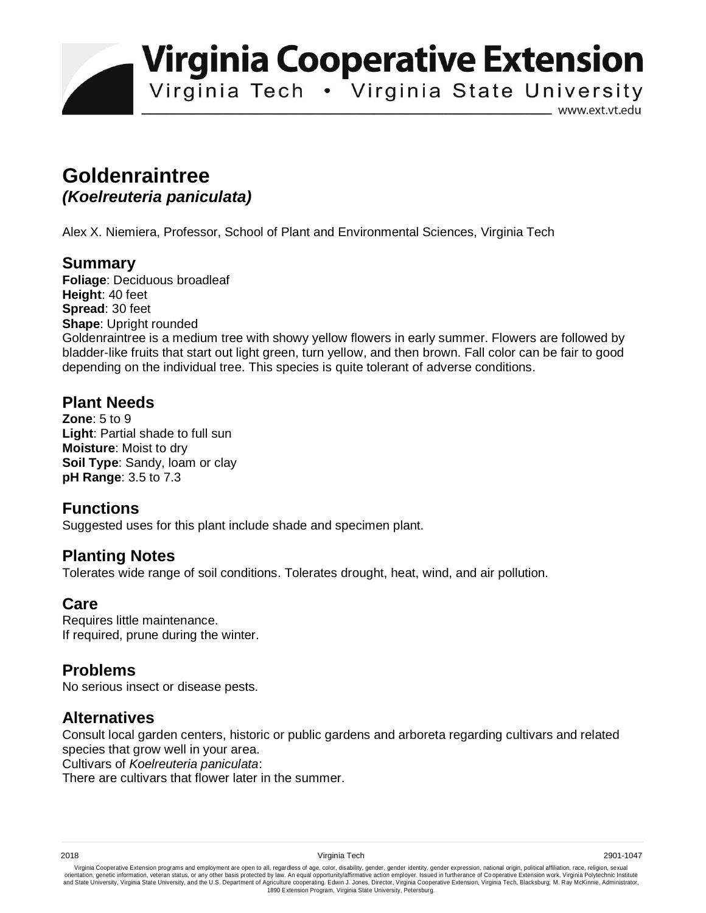**Virginia Cooperative Extension** 

Virginia Tech . Virginia State University

www.ext.vt.edu

# **Goldenraintree**  *(Koelreuteria paniculata)*

Alex X. Niemiera, Professor, School of Plant and Environmental Sciences, Virginia Tech

#### **Summary**

**Foliage**: Deciduous broadleaf **Height**: 40 feet **Spread**: 30 feet **Shape**: Upright rounded Goldenraintree is a medium tree with showy yellow flowers in early summer. Flowers are followed by bladder-like fruits that start out light green, turn yellow, and then brown. Fall color can be fair to good depending on the individual tree. This species is quite tolerant of adverse conditions.

### **Plant Needs**

**Zone**: 5 to 9 **Light**: Partial shade to full sun **Moisture**: Moist to dry **Soil Type**: Sandy, loam or clay **pH Range**: 3.5 to 7.3

## **Functions**

Suggested uses for this plant include shade and specimen plant.

### **Planting Notes**

Tolerates wide range of soil conditions. Tolerates drought, heat, wind, and air pollution.

## **Care**

Requires little maintenance. If required, prune during the winter.

## **Problems**

No serious insect or disease pests.

### **Alternatives**

Consult local garden centers, historic or public gardens and arboreta regarding cultivars and related species that grow well in your area.

Cultivars of *Koelreuteria paniculata*:

There are cultivars that flower later in the summer.